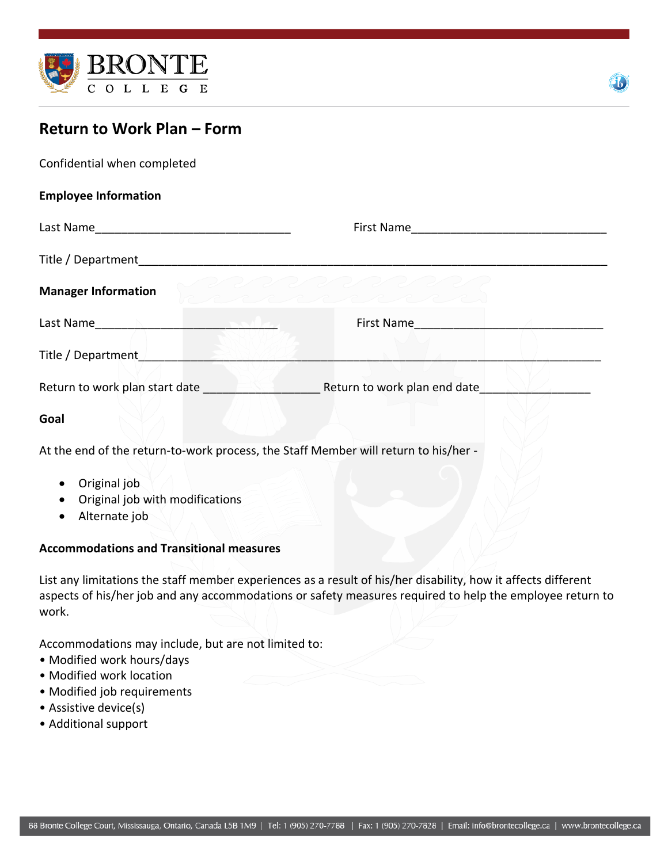



## **Return to Work Plan – Form**

| Confidential when completed                                                                                                                                                                                                   |                                                                                    |
|-------------------------------------------------------------------------------------------------------------------------------------------------------------------------------------------------------------------------------|------------------------------------------------------------------------------------|
| <b>Employee Information</b>                                                                                                                                                                                                   |                                                                                    |
|                                                                                                                                                                                                                               |                                                                                    |
| Title / Department and the state of the state of the state of the state of the state of the state of the state of the state of the state of the state of the state of the state of the state of the state of the state of the |                                                                                    |
| <b>Manager Information</b>                                                                                                                                                                                                    | RRRRRRR                                                                            |
| Last Name and the contract of the contract of the contract of the contract of the contract of the contract of the contract of the contract of the contract of the contract of the contract of the contract of the contract of |                                                                                    |
| Title / Department / Title / Department                                                                                                                                                                                       |                                                                                    |
|                                                                                                                                                                                                                               | <b>Return to work plan start date Secure 1 Accord Return to work plan end date</b> |
| Goal                                                                                                                                                                                                                          |                                                                                    |
| At the end of the return-to-work process, the Staff Member will return to his/her -                                                                                                                                           |                                                                                    |
| Ariginal ioh                                                                                                                                                                                                                  |                                                                                    |

- Original job
- Original job with modifications
- Alternate job

## **Accommodations and Transitional measures**

List any limitations the staff member experiences as a result of his/her disability, how it affects different aspects of his/her job and any accommodations or safety measures required to help the employee return to work.

Accommodations may include, but are not limited to:

- Modified work hours/days
- Modified work location
- Modified job requirements
- Assistive device(s)
- Additional support